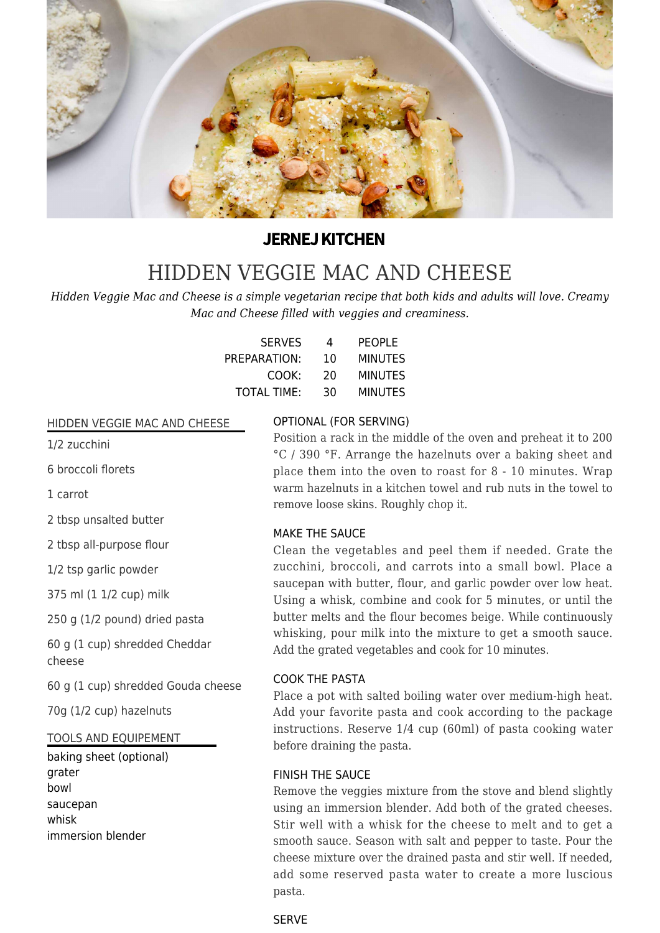

# **JERNEJ KITCHEN**

# [HIDDEN VEGGIE MAC AND CHEESE](https://jernejkitchen.com/recipes/veggie-mac-and-cheese)

*Hidden Veggie Mac and Cheese is a simple vegetarian recipe that both kids and adults will love. Creamy Mac and Cheese filled with veggies and creaminess.*

| <b>SERVES</b>      | 4  | PEOPLE         |
|--------------------|----|----------------|
| PREPARATION:       | 10 | <b>MINUTES</b> |
| COOK:              | 20 | <b>MINUTES</b> |
| <b>TOTAL TIME:</b> | 30 | <b>MINUTES</b> |

#### HIDDEN VEGGIE MAC AND CHEESE

1/2 zucchini

6 broccoli florets

1 carrot

2 tbsp unsalted butter

2 tbsp all-purpose flour

1/2 tsp garlic powder

375 ml (1 1/2 cup) milk

250 g (1/2 pound) dried pasta

60 g (1 cup) shredded Cheddar cheese

60 g (1 cup) shredded Gouda cheese

70g (1/2 cup) hazelnuts

#### TOOLS AND EQUIPEMENT

baking sheet (optional) grater bowl saucepan whisk immersion blender

# OPTIONAL (FOR SERVING)

Position a rack in the middle of the oven and preheat it to 200 °C / 390 °F. Arrange the hazelnuts over a baking sheet and place them into the oven to roast for 8 - 10 minutes. Wrap warm hazelnuts in a kitchen towel and rub nuts in the towel to remove loose skins. Roughly chop it.

### MAKE THE SAUCE

Clean the vegetables and peel them if needed. Grate the zucchini, broccoli, and carrots into a small bowl. Place a saucepan with butter, flour, and garlic powder over low heat. Using a whisk, combine and cook for 5 minutes, or until the butter melts and the flour becomes beige. While continuously whisking, pour milk into the mixture to get a smooth sauce. Add the grated vegetables and cook for 10 minutes.

# COOK THE PASTA

Place a pot with salted boiling water over medium-high heat. Add your favorite pasta and cook according to the package instructions. Reserve 1/4 cup (60ml) of pasta cooking water before draining the pasta.

### FINISH THE SAUCE

Remove the veggies mixture from the stove and blend slightly using an immersion blender. Add both of the grated cheeses. Stir well with a whisk for the cheese to melt and to get a smooth sauce. Season with salt and pepper to taste. Pour the cheese mixture over the drained pasta and stir well. If needed, add some reserved pasta water to create a more luscious pasta.

# **SERVE**